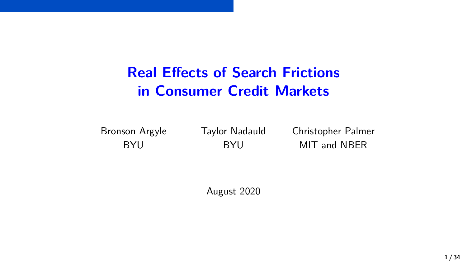# <span id="page-0-0"></span>**Real Effects of Search Frictions in Consumer Credit Markets**

Bronson Argyle Taylor Nadauld Christopher Palmer BYU BYU MIT and NBER

August 2020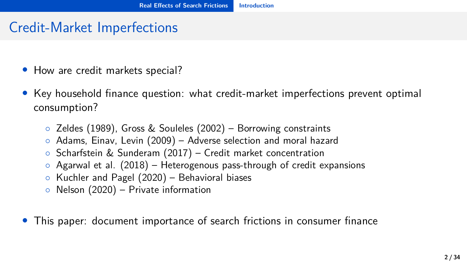# <span id="page-1-0"></span>Credit-Market Imperfections

- How are credit markets special?
- Key household finance question: what credit-market imperfections prevent optimal consumption?
	- Zeldes (1989), Gross & Souleles (2002) Borrowing constraints
	- Adams, Einav, Levin (2009) Adverse selection and moral hazard
	- Scharfstein & Sunderam (2017) Credit market concentration
	- Agarwal et al. (2018) Heterogenous pass-through of credit expansions
	- Kuchler and Pagel (2020) Behavioral biases
	- Nelson (2020) Private information
- This paper: document importance of search frictions in consumer finance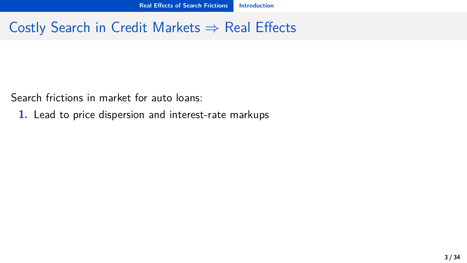# Costly Search in Credit Markets ⇒ Real Effects

Search frictions in market for auto loans:

**1.** Lead to price dispersion and interest-rate markups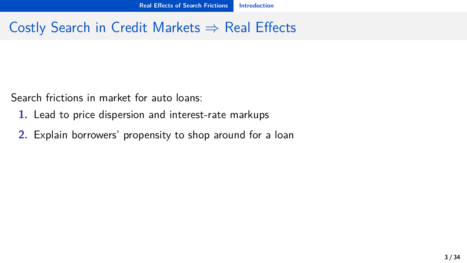# Costly Search in Credit Markets  $\Rightarrow$  Real Effects

Search frictions in market for auto loans:

- **1.** Lead to price dispersion and interest-rate markups
- **2.** Explain borrowers' propensity to shop around for a loan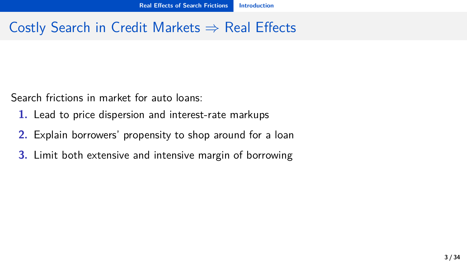# Costly Search in Credit Markets  $\Rightarrow$  Real Effects

Search frictions in market for auto loans:

- **1.** Lead to price dispersion and interest-rate markups
- **2.** Explain borrowers' propensity to shop around for a loan
- **3.** Limit both extensive and intensive margin of borrowing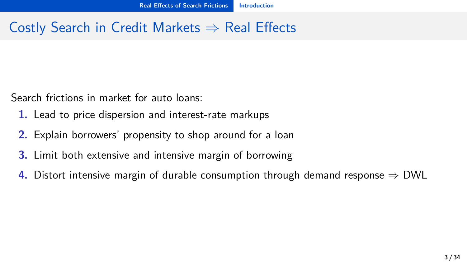# Costly Search in Credit Markets  $\Rightarrow$  Real Effects

Search frictions in market for auto loans:

- **1.** Lead to price dispersion and interest-rate markups
- **2.** Explain borrowers' propensity to shop around for a loan
- **3.** Limit both extensive and intensive margin of borrowing
- **4.** Distort intensive margin of durable consumption through demand response ⇒ DWL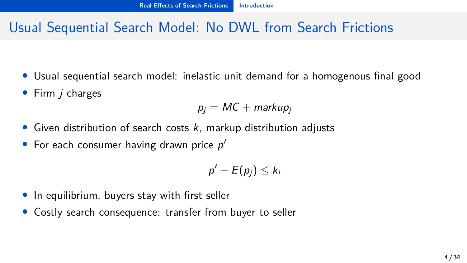# Usual Sequential Search Model: No DWL from Search Frictions

- Usual sequential search model: inelastic unit demand for a homogenous final good
- Firm *i* charges

$$
p_j = MC + markup_j
$$

- Given distribution of search costs  $k$ , markup distribution adjusts
- For each consumer having drawn price  $p'$

$$
p'-E(p_j)\leq k_i
$$

- In equilibrium, buyers stay with first seller
- Costly search consequence: transfer from buyer to seller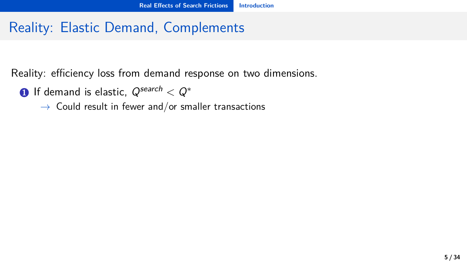# Reality: Elastic Demand, Complements

Reality: efficiency loss from demand response on two dimensions.

- **1** If demand is elastic,  $Q^{search} < Q^*$ 
	- $\rightarrow$  Could result in fewer and/or smaller transactions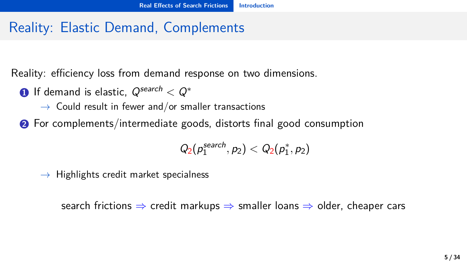# Reality: Elastic Demand, Complements

Reality: efficiency loss from demand response on two dimensions.

- **1** If demand is elastic,  $Q^{search} < Q^*$ 
	- $\rightarrow$  Could result in fewer and/or smaller transactions
- **2** For complements/intermediate goods, distorts final good consumption

$$
Q_2(\rho_1^{search},p_2)
$$

 $\rightarrow$  Highlights credit market specialness

search frictions  $\Rightarrow$  credit markups  $\Rightarrow$  smaller loans  $\Rightarrow$  older, cheaper cars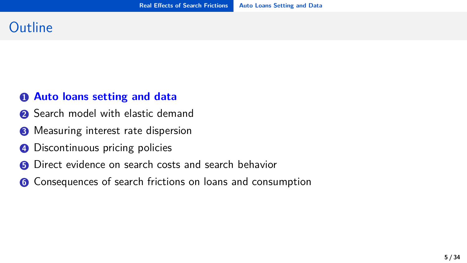### <span id="page-9-0"></span>**Outline**

#### **Auto loans setting and data**

- Search model with elastic demand
- Measuring interest rate dispersion
- Discontinuous pricing policies
- Direct evidence on search costs and search behavior
- Consequences of search frictions on loans and consumption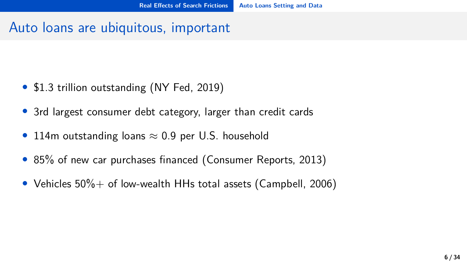#### Auto loans are ubiquitous, important

- \$1.3 trillion outstanding (NY Fed, 2019)
- 3rd largest consumer debt category, larger than credit cards
- 114m outstanding loans  $\approx 0.9$  per U.S. household
- 85% of new car purchases financed (Consumer Reports, 2013)
- Vehicles 50%+ of low-wealth HHs total assets (Campbell, 2006)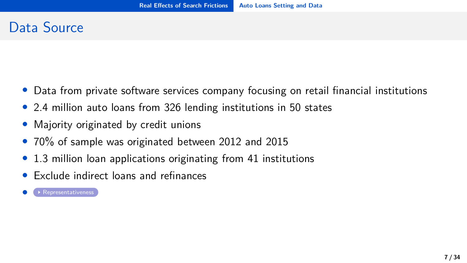# Data Source

- <span id="page-11-0"></span>• Data from private software services company focusing on retail financial institutions
- 2.4 million auto loans from 326 lending institutions in 50 states
- Majority originated by credit unions
- 70% of sample was originated between 2012 and 2015
- 1.3 million loan applications originating from 41 institutions
- Exclude indirect loans and refinances
-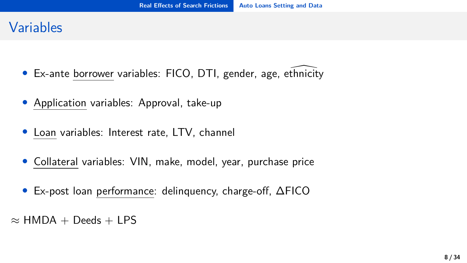#### Variables

- Ex-ante borrower variables: FICO, DTI, gender, age, ethnicity \
- Application variables: Approval, take-up
- Loan variables: Interest rate, LTV, channel
- Collateral variables: VIN, make, model, year, purchase price
- Ex-post loan performance: delinquency, charge-off, ∆FICO

 $\approx$  HMDA + Deeds + LPS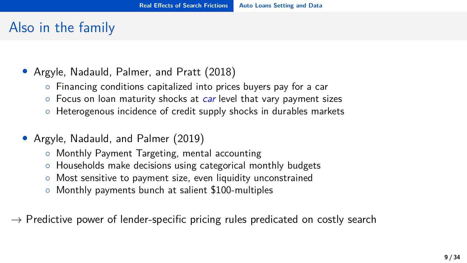### Also in the family

- Argyle, Nadauld, Palmer, and Pratt (2018)
	- Financing conditions capitalized into prices buyers pay for a car
	- Focus on loan maturity shocks at car level that vary payment sizes
	- Heterogenous incidence of credit supply shocks in durables markets
- Argyle, Nadauld, and Palmer (2019)
	- Monthly Payment Targeting, mental accounting
	- Households make decisions using categorical monthly budgets
	- Most sensitive to payment size, even liquidity unconstrained
	- Monthly payments bunch at salient \$100-multiples

 $\rightarrow$  Predictive power of lender-specific pricing rules predicated on costly search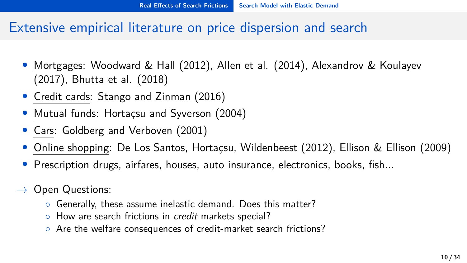#### <span id="page-14-0"></span>Extensive empirical literature on price dispersion and search

- Mortgages: Woodward & Hall (2012), Allen et al. (2014), Alexandrov & Koulayev (2017), Bhutta et al. (2018)
- Credit cards: Stango and Zinman (2016)
- Mutual funds: Hortaçsu and Syverson (2004)
- Cars: Goldberg and Verboven (2001)
- Online shopping: De Los Santos, Hortaçsu, Wildenbeest (2012), Ellison & Ellison (2009)
- Prescription drugs, airfares, houses, auto insurance, electronics, books, fish...
- $\rightarrow$  Open Questions:
	- Generally, these assume inelastic demand. Does this matter?
	- How are search frictions in credit markets special?
	- Are the welfare consequences of credit-market search frictions?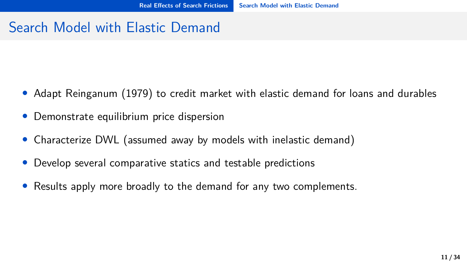# Search Model with Elastic Demand

- Adapt Reinganum (1979) to credit market with elastic demand for loans and durables
- Demonstrate equilibrium price dispersion
- Characterize DWL (assumed away by models with inelastic demand)
- Develop several comparative statics and testable predictions
- Results apply more broadly to the demand for any two complements.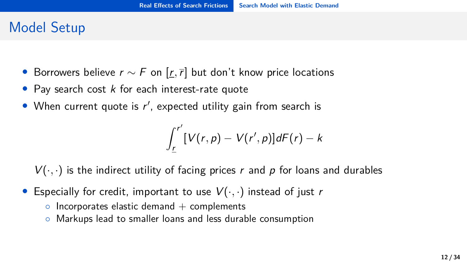# Model Setup

- Borrowers believe r ∼ F on [r*,*r] but don't know price locations
- Pay search cost  $k$  for each interest-rate quote
- When current quote is  $r'$ , expected utility gain from search is

$$
\int_{\underline{r}}^{r'}[V(r,p)-V(r',p)]dF(r)-k
$$

 $V(\cdot, \cdot)$  is the indirect utility of facing prices r and p for loans and durables

- Especially for credit, important to use  $V(\cdot, \cdot)$  instead of just r
	- $\circ$  Incorporates elastic demand  $+$  complements
	- Markups lead to smaller loans and less durable consumption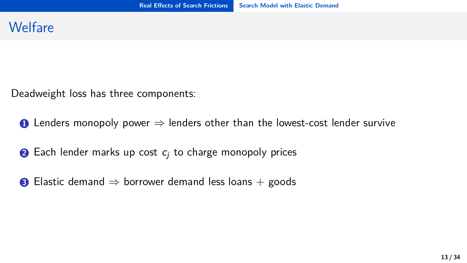#### **Welfare**

Deadweight loss has three components:

- **1** Lenders monopoly power ⇒ lenders other than the lowest-cost lender survive
- **2** Each lender marks up cost  $c_i$  to charge monopoly prices
- **3** Elastic demand ⇒ borrower demand less loans + goods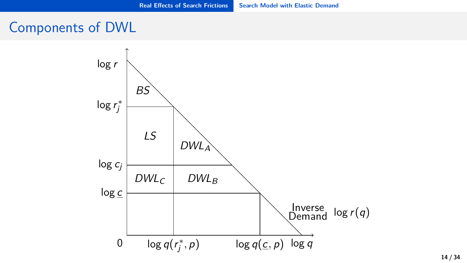# Components of DWL

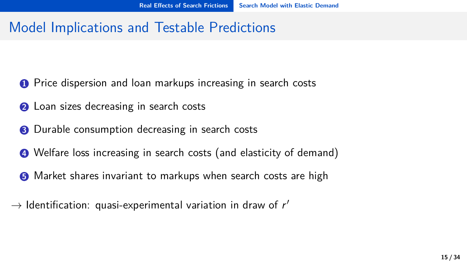### Model Implications and Testable Predictions

- **1** Price dispersion and loan markups increasing in search costs
- **2** Loan sizes decreasing in search costs
- **3** Durable consumption decreasing in search costs
- **4** Welfare loss increasing in search costs (and elasticity of demand)
- **6** Market shares invariant to markups when search costs are high
- $\rightarrow$  Identification: quasi-experimental variation in draw of  $r'$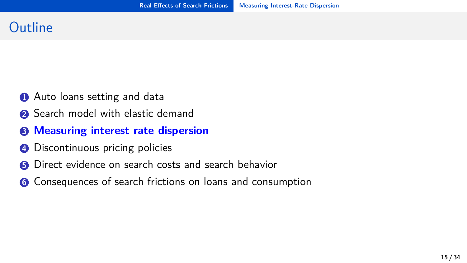### <span id="page-20-0"></span>**Outline**

- Auto loans setting and data
- Search model with elastic demand
- **Measuring interest rate dispersion**
- Discontinuous pricing policies
- Direct evidence on search costs and search behavior
- Consequences of search frictions on loans and consumption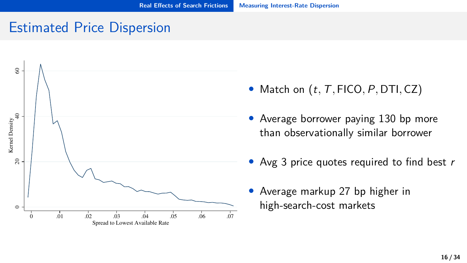### Estimated Price Dispersion



- Match on (t*,*T*,* FICO*,* P*,* DTI*,* CZ)
- Average borrower paying 130 bp more than observationally similar borrower
- Avg 3 price quotes required to find best  $r$
- Average markup 27 bp higher in high-search-cost markets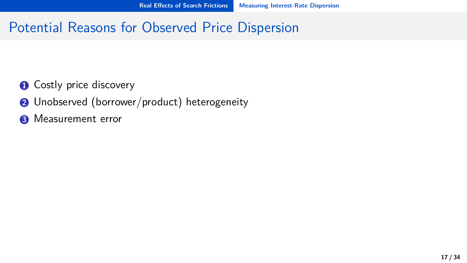# Potential Reasons for Observed Price Dispersion

- **1** Costly price discovery
- **2** Unobserved (borrower/product) heterogeneity
- **3** Measurement error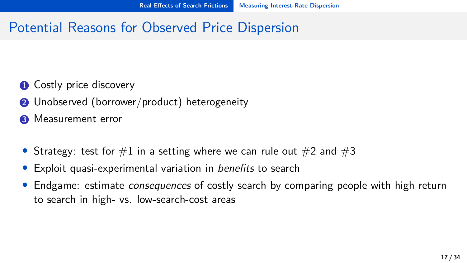# Potential Reasons for Observed Price Dispersion

- **1** Costly price discovery
- **2** Unobserved (borrower/product) heterogeneity
- **3** Measurement error
- Strategy: test for  $\#1$  in a setting where we can rule out  $\#2$  and  $\#3$
- Exploit quasi-experimental variation in *benefits* to search
- Endgame: estimate *consequences* of costly search by comparing people with high return to search in high- vs. low-search-cost areas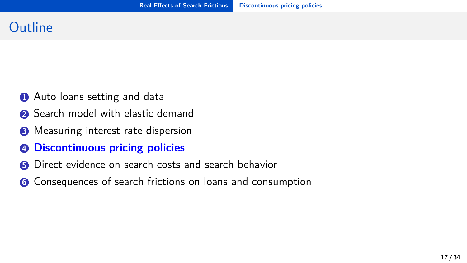### <span id="page-24-0"></span>**Outline**

- Auto loans setting and data
- Search model with elastic demand
- Measuring interest rate dispersion
- **Discontinuous pricing policies**
- Direct evidence on search costs and search behavior
- Consequences of search frictions on loans and consumption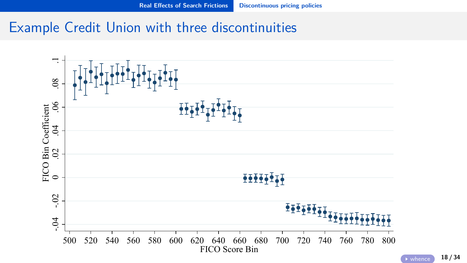Example Credit Union with three discontinuities



[whence](#page-51-0) **18 / 34**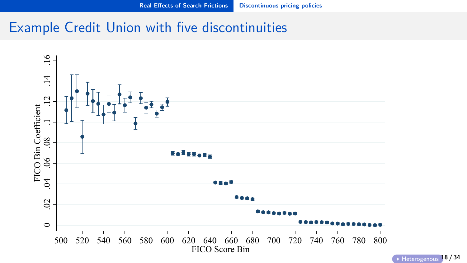#### Example Credit Union with five discontinuities

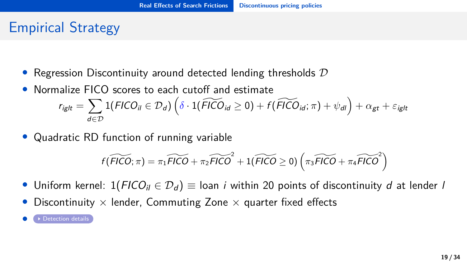# Empirical Strategy

- <span id="page-27-0"></span>• Regression Discontinuity around detected lending thresholds  $D$
- Normalize FICO scores to each cutoff and estimate

$$
r_{\text{ight}} = \sum_{d \in \mathcal{D}} 1(FICO_{il} \in \mathcal{D}_d) \left( \delta \cdot 1(\widetilde{FICO}_{id} \geq 0) + f(\widetilde{FICO}_{id}; \pi) + \psi_{dl} \right) + \alpha_{gt} + \varepsilon_{\text{ight}}
$$

• Quadratic RD function of running variable

$$
f(\widetilde{FICO};\pi) = \pi_1 \widetilde{FICO} + \pi_2 \widetilde{FICO}^2 + 1(\widetilde{FICO} \ge 0) \left( \pi_3 \widetilde{FICO} + \pi_4 \widetilde{FICO}^2 \right)
$$

- Uniform kernel:  $1(FICO_{il} \in \mathcal{D}_d) \equiv$  loan *i* within 20 points of discontinuity d at lender *l*
- Discontinuity  $\times$  lender, Commuting Zone  $\times$  quarter fixed effects
- ▶ [Detection details](#page-54-0)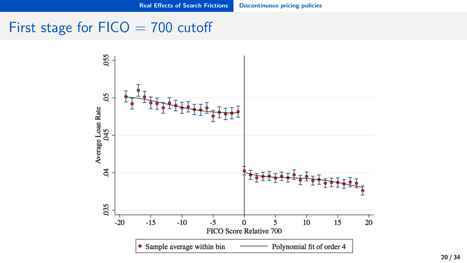#### First stage for  $FICO = 700$  cutoff

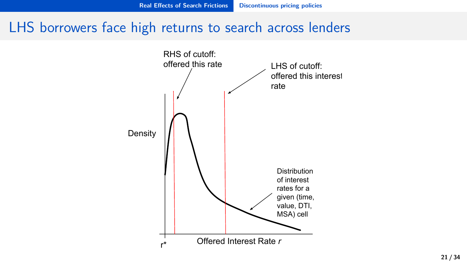#### LHS borrowers face high returns to search across lenders

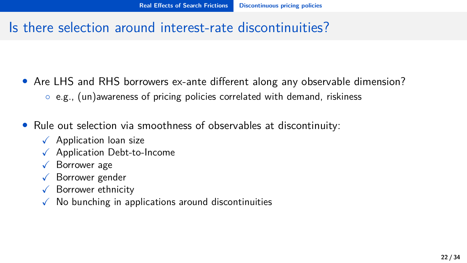### Is there selection around interest-rate discontinuities?

- Are LHS and RHS borrowers ex-ante different along any observable dimension?
	- e.g., (un)awareness of pricing policies correlated with demand, riskiness
- Rule out selection via smoothness of observables at discontinuity:
	- $\sqrt{\phantom{a}}$  Application loan size
	- $\sqrt{\phantom{a}}$  Application Debt-to-Income
	- $\sqrt{\ }$  Borrower age
	- $\sqrt{\ }$  Borrower gender
	- $\sqrt{\ }$  Borrower ethnicity
	- $\sqrt{\ }$  No bunching in applications around discontinuities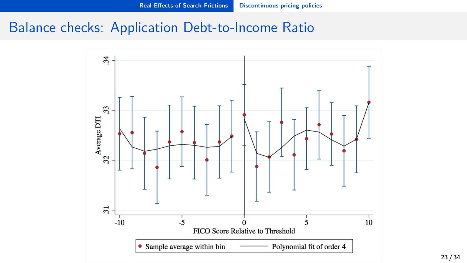#### Balance checks: Application Debt-to-Income Ratio

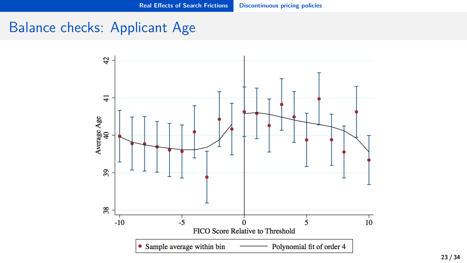#### Balance checks: Applicant Age

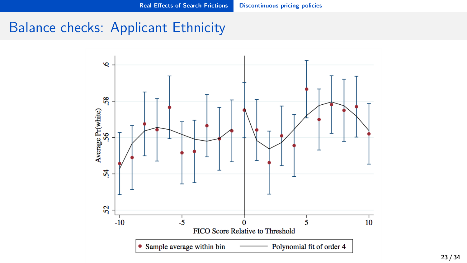#### Balance checks: Applicant Ethnicity

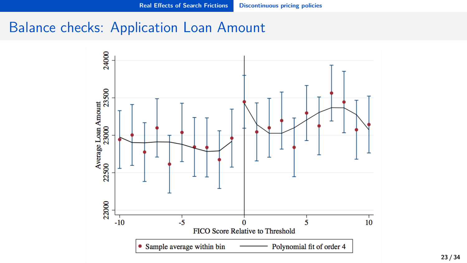### Balance checks: Application Loan Amount

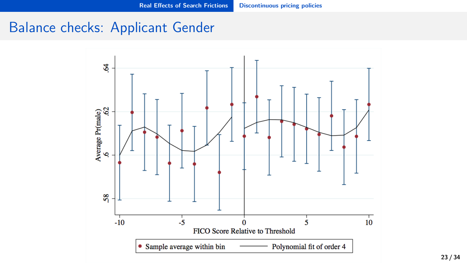#### Balance checks: Applicant Gender

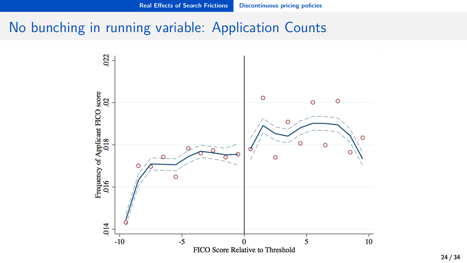### No bunching in running variable: Application Counts

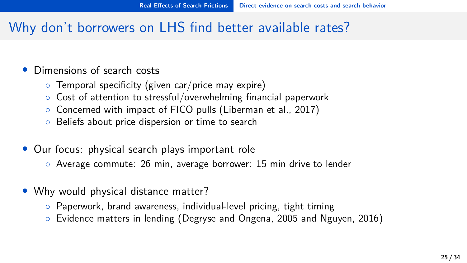### <span id="page-37-0"></span>Why don't borrowers on LHS find better available rates?

#### • Dimensions of search costs

- Temporal specificity (given car/price may expire)
- Cost of attention to stressful/overwhelming financial paperwork
- Concerned with impact of FICO pulls (Liberman et al., 2017)
- Beliefs about price dispersion or time to search
- Our focus: physical search plays important role
	- Average commute: 26 min, average borrower: 15 min drive to lender
- Why would physical distance matter?
	- Paperwork, brand awareness, individual-level pricing, tight timing
	- Evidence matters in lending (Degryse and Ongena, 2005 and Nguyen, 2016)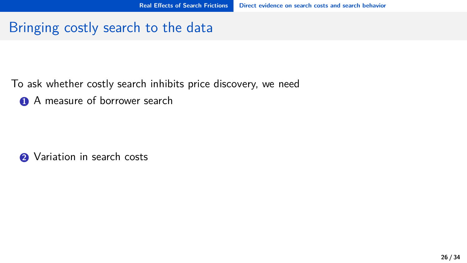### Bringing costly search to the data

To ask whether costly search inhibits price discovery, we need

**1** A measure of borrower search

**2** Variation in search costs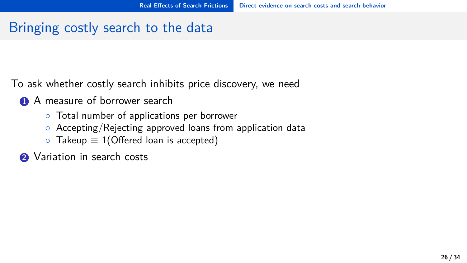# Bringing costly search to the data

To ask whether costly search inhibits price discovery, we need

- **1** A measure of borrower search
	- Total number of applications per borrower
	- Accepting/Rejecting approved loans from application data
	- $\circ$  Takeup  $\equiv 1$ (Offered loan is accepted)

**2** Variation in search costs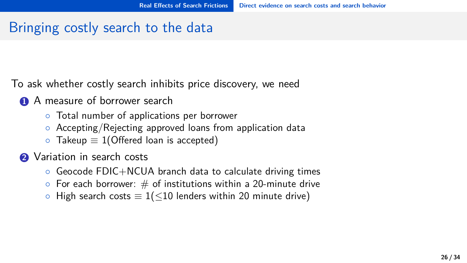# Bringing costly search to the data

To ask whether costly search inhibits price discovery, we need

- **1** A measure of borrower search
	- Total number of applications per borrower
	- Accepting/Rejecting approved loans from application data
	- $\circ$  Takeup  $\equiv 1$ (Offered loan is accepted)
- **2** Variation in search costs
	- Geocode FDIC+NCUA branch data to calculate driving times
	- $\circ$  For each borrower:  $\#$  of institutions within a 20-minute drive
	- High search costs  $\equiv$  1(<10 lenders within 20 minute drive)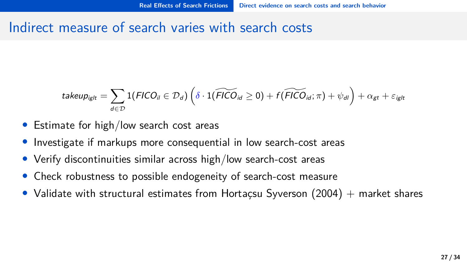#### Indirect measure of search varies with search costs

$$
takeup_{igt} = \sum_{d \in \mathcal{D}} 1(FICO_{il} \in \mathcal{D}_d) \left( \delta \cdot 1(\widetilde{FICO}_{id} \geq 0) + \widetilde{F(FCO}_{id}; \pi) + \psi_{dl} \right) + \alpha_{gt} + \varepsilon_{igt}
$$

- Estimate for high/low search cost areas
- Investigate if markups more consequential in low search-cost areas
- Verify discontinuities similar across high/low search-cost areas
- Check robustness to possible endogeneity of search-cost measure
- Validate with structural estimates from Hortaçsu Syverson  $(2004)$  + market shares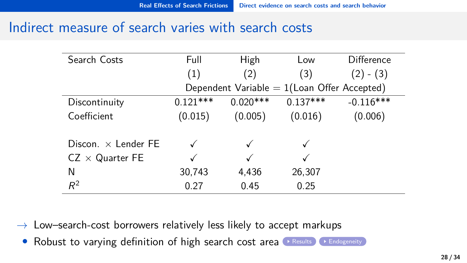#### <span id="page-42-0"></span>Indirect measure of search varies with search costs

| Search Costs               | Full       | High       | Low                                            | Difference  |
|----------------------------|------------|------------|------------------------------------------------|-------------|
|                            | (1)        | (2)        | (3)                                            | $(2) - (3)$ |
|                            |            |            | Dependent Variable = $1$ (Loan Offer Accepted) |             |
| Discontinuity              | $0.121***$ | $0.020***$ | $0.137***$                                     | $-0.116***$ |
| Coefficient                | (0.015)    | (0.005)    | (0.016)                                        | (0.006)     |
|                            |            |            |                                                |             |
| Discon. $\times$ Lender FE |            |            |                                                |             |
| $CZ \times$ Quarter FE     |            |            |                                                |             |
| N                          | 30,743     | 4,436      | 26,307                                         |             |
| $R^2$                      | 0.27       | 0.45       | 0.25                                           |             |

 $\rightarrow$  Low–search-cost borrowers relatively less likely to accept markups

• Robust to varying definition of high search cost area [Results](#page-57-0) P[Endogeneity](#page-58-0)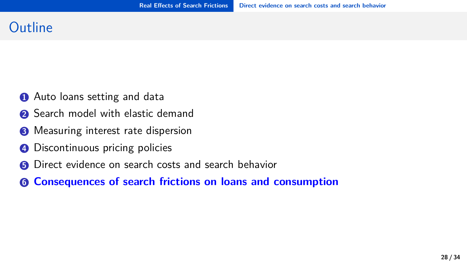### **Outline**

- Auto loans setting and data
- Search model with elastic demand
- Measuring interest rate dispersion
- Discontinuous pricing policies
- Direct evidence on search costs and search behavior
- **Consequences of search frictions on loans and consumption**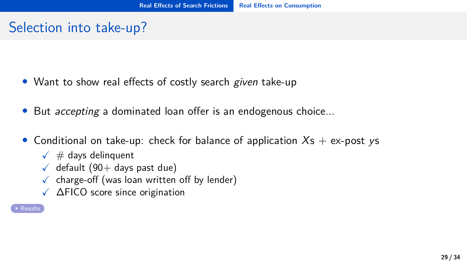# <span id="page-44-0"></span>Selection into take-up?

- <span id="page-44-1"></span>• Want to show real effects of costly search given take-up
- But *accepting* a dominated loan offer is an endogenous choice...
- Conditional on take-up: check for balance of application  $X_s + e^{2\pi i}$  vs
	- $\checkmark$  # days delinquent
	- $\checkmark$  default (90+ days past due)
	- $\checkmark$  charge-off (was loan written off by lender)
	- X ∆FICO score since origination

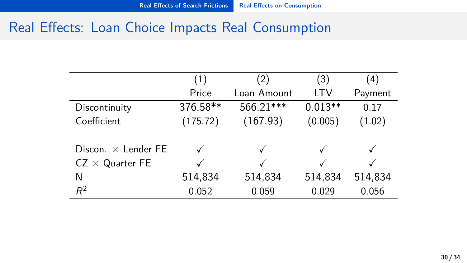## Real Effects: Loan Choice Impacts Real Consumption

|                            | (1)      | (2)          | (3)       | $\left( 4\right)$ |
|----------------------------|----------|--------------|-----------|-------------------|
|                            | Price    | Loan Amount  | LTV       | Payment           |
| Discontinuity              | 376.58** | 566.21***    | $0.013**$ | 0.17              |
| Coefficient                | (175.72) | (167.93)     | (0.005)   | (1.02)            |
|                            |          |              |           |                   |
| Discon. $\times$ Lender FE | ✓        | ✓            | ✓         |                   |
| $CZ \times$ Quarter FE     |          | $\checkmark$ |           |                   |
| Ν                          | 514,834  | 514,834      | 514,834   | 514,834           |
| $R^2$                      | 0.052    | 0.059        | 0.029     | 0.056             |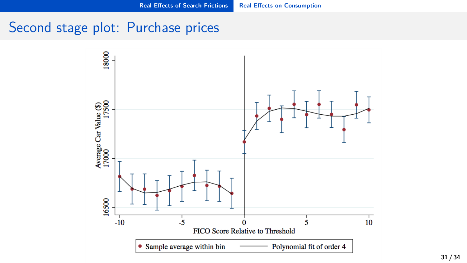#### Second stage plot: Purchase prices

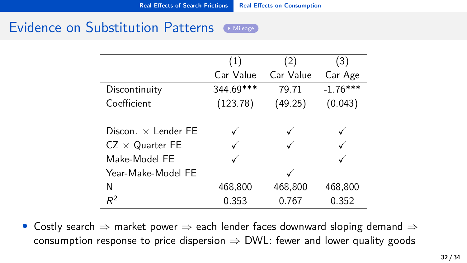# <span id="page-47-0"></span>Evidence on Substitution Patterns ([Mileage](#page-56-0))

|                            | (1)       | (2)       | (3)        |
|----------------------------|-----------|-----------|------------|
|                            | Car Value | Car Value | Car Age    |
| Discontinuity              | 344.69*** | 79.71     | $-1.76***$ |
| Coefficient                | (123.78)  | (49.25)   | (0.043)    |
|                            |           |           |            |
| Discon. $\times$ Lender FF |           |           |            |
| $CZ \times$ Quarter FE     |           |           |            |
| Make-Model FF              |           |           |            |
| Year-Make-Model FF         |           |           |            |
| N                          | 468,800   | 468,800   | 468,800    |
| $R^2$                      | 0.353     | 0.767     | 0.352      |

• Costly search  $\Rightarrow$  market power  $\Rightarrow$  each lender faces downward sloping demand  $\Rightarrow$ consumption response to price dispersion  $\Rightarrow$  DWL: fewer and lower quality goods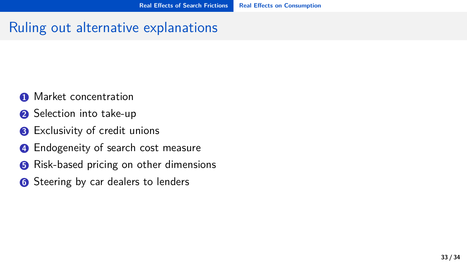# Ruling out alternative explanations

#### Market concentration

- Selection into take-up
- Exclusivity of credit unions
- Endogeneity of search cost measure
- Risk-based pricing on other dimensions
- Steering by car dealers to lenders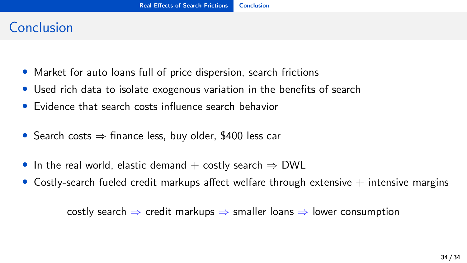# <span id="page-49-0"></span>Conclusion

- Market for auto loans full of price dispersion, search frictions
- Used rich data to isolate exogenous variation in the benefits of search
- Evidence that search costs influence search behavior
- Search costs  $\Rightarrow$  finance less, buy older, \$400 less car
- In the real world, elastic demand  $+$  costly search  $\Rightarrow$  DWL
- Costly-search fueled credit markups affect welfare through extensive  $+$  intensive margins

costly search  $\Rightarrow$  credit markups  $\Rightarrow$  smaller loans  $\Rightarrow$  lower consumption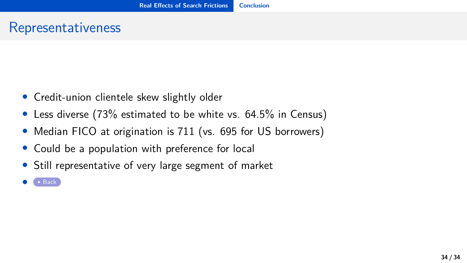#### Representativeness

- <span id="page-50-0"></span>• Credit-union clientele skew slightly older
- Less diverse (73% estimated to be white vs. 64.5% in Census)
- Median FICO at origination is 711 (vs. 695 for US borrowers)
- Could be a population with preference for local
- Still representative of very large segment of market
- [Back](#page-11-0)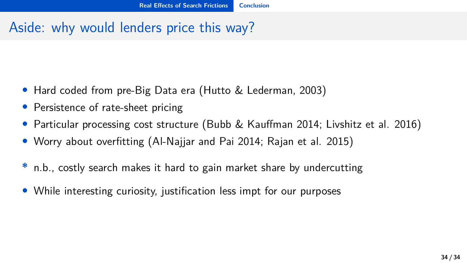# Aside: why would lenders price this way?

- <span id="page-51-0"></span>• Hard coded from pre-Big Data era (Hutto & Lederman, 2003)
- Persistence of rate-sheet pricing
- Particular processing cost structure (Bubb & Kauffman 2014; Livshitz et al. 2016)
- Worry about overfitting (Al-Najjar and Pai 2014; Rajan et al. 2015)
- **\*** n.b., costly search makes it hard to gain market share by undercutting
- While interesting curiosity, justification less impt for our purposes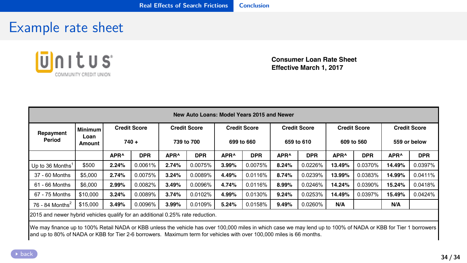#### Example rate sheet



**Consumer Loan Rate Sheet Effective March 1, 2017**

| New Auto Loans: Model Years 2015 and Newer                                     |                                  |       |                                |                                   |            |       |                                   |            |                     |            |                     |        |                                     |
|--------------------------------------------------------------------------------|----------------------------------|-------|--------------------------------|-----------------------------------|------------|-------|-----------------------------------|------------|---------------------|------------|---------------------|--------|-------------------------------------|
| Repayment<br>Period                                                            | <b>Minimum</b><br>Loan<br>Amount |       | <b>Credit Score</b><br>$740 +$ | <b>Credit Score</b><br>739 to 700 |            |       | <b>Credit Score</b><br>699 to 660 | 659 to 610 | <b>Credit Score</b> | 609 to 560 | <b>Credit Score</b> |        | <b>Credit Score</b><br>559 or below |
|                                                                                |                                  | APR^  | <b>DPR</b>                     | APR^                              | <b>DPR</b> | APR^  | <b>DPR</b>                        | APR^       | <b>DPR</b>          | APR^       | <b>DPR</b>          | APR^   | <b>DPR</b>                          |
| Up to 36 Months <sup>1</sup>                                                   | \$500                            | 2.24% | 0.0061%                        | 2.74%                             | 0.0075%    | 3.99% | 0.0075%                           | 8.24%      | 0.0226%             | 13.49%     | 0.0370%             | 14.49% | 0.0397%                             |
| 37 - 60 Months                                                                 | \$5,000                          | 2.74% | 0.0075%                        | 3.24%                             | 0.0089%    | 4.49% | 0.0116%                           | 8.74%      | 0.0239%             | 13.99%     | 0.0383%             | 14.99% | 0.0411%                             |
| 61 - 66 Months                                                                 | \$6,000                          | 2.99% | 0.0082%                        | 3.49%                             | 0.0096%    | 4.74% | 0.0116%                           | 8.99%      | 0.0246%             | 14.24%     | 0.0390%             | 15.24% | 0.0418%                             |
| 67 - 75 Months                                                                 | \$10,000                         | 3.24% | 0.0089%                        | 3.74%                             | 0.0102%    | 4.99% | 0.0130%                           | 9.24%      | 0.0253%             | 14.49%     | 0.0397%             | 15.49% | 0.0424%                             |
| $76 - 84$ Months <sup>2</sup>                                                  | \$15,000                         | 3.49% | 0.0096%                        | 3.99%                             | 0.0109%    | 5.24% | 0.0158%                           | 9.49%      | 0.0260%             | N/A        |                     | N/A    |                                     |
| 2015 and newer hybrid vehicles qualify for an additional 0.25% rate reduction. |                                  |       |                                |                                   |            |       |                                   |            |                     |            |                     |        |                                     |

We may finance up to 100% Retail NADA or KBB unless the vehicle has over 100,000 miles in which case we may lend up to 100% of NADA or KBB for Tier 1 borrowers and up to 80% of NADA or KBB for Tier 2-6 borrowers. Maximum term for vehicles with over 100,000 miles is 66 months.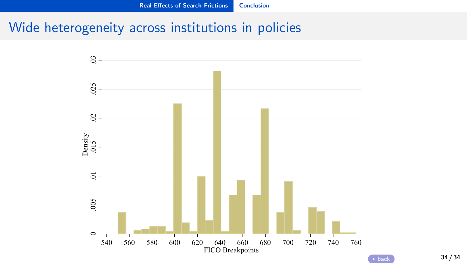<span id="page-53-0"></span>Wide heterogeneity across institutions in policies

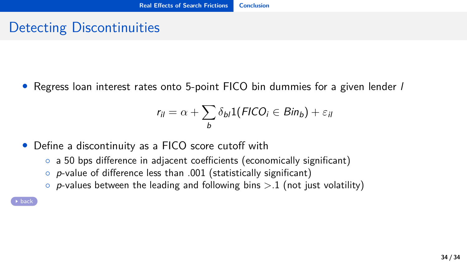# Detecting Discontinuities

<span id="page-54-0"></span>• Regress loan interest rates onto 5-point FICO bin dummies for a given lender l

$$
r_{il} = \alpha + \sum_{b} \delta_{bl} 1(FICO_i \in Bin_b) + \varepsilon_{il}
$$

- Define a discontinuity as a FICO score cutoff with
	- a 50 bps difference in adjacent coefficients (economically significant)
	- p-value of difference less than .001 (statistically significant)
	- $\circ$  p-values between the leading and following bins  $> 1$  (not just volatility)

 $\blacktriangleright$  hack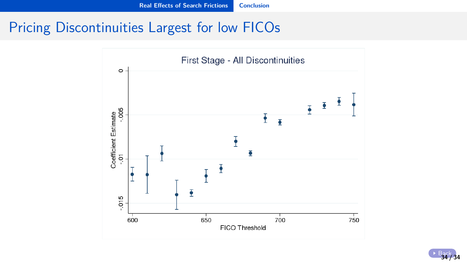# Pricing Discontinuities Largest for low FICOs



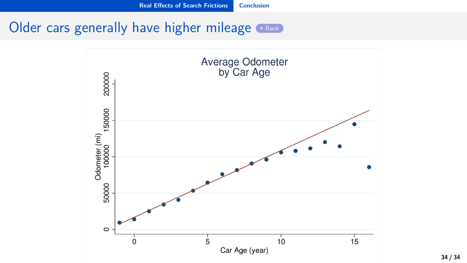# <span id="page-56-0"></span>Older cars generally have higher mileage D[Back](#page-47-0)

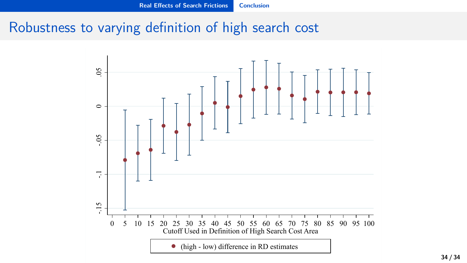### <span id="page-57-0"></span>Robustness to varying definition of high search cost

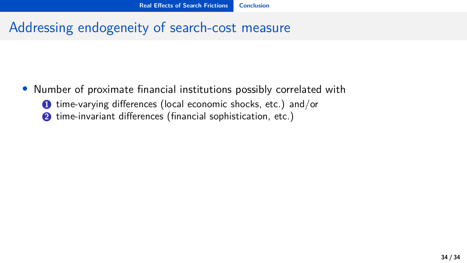# Addressing endogeneity of search-cost measure

<span id="page-58-0"></span>• Number of proximate financial institutions possibly correlated with **1** time-varying differences (local economic shocks, etc.) and/or **2** time-invariant differences (financial sophistication, etc.)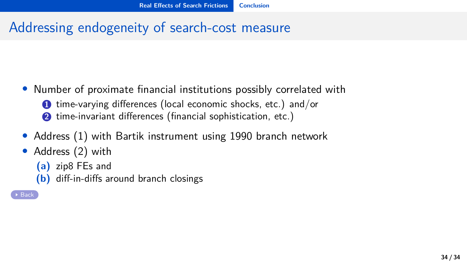# Addressing endogeneity of search-cost measure

- Number of proximate financial institutions possibly correlated with **1** time-varying differences (local economic shocks, etc.) and/or **2** time-invariant differences (financial sophistication, etc.)
- Address (1) with Bartik instrument using 1990 branch network
- Address (2) with
	- **(a)** zip8 FEs and
	- **(b)** diff-in-diffs around branch closings

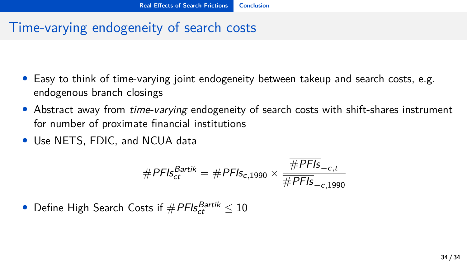# Time-varying endogeneity of search costs

- Easy to think of time-varying joint endogeneity between takeup and search costs, e.g. endogenous branch closings
- Abstract away from *time-varying* endogeneity of search costs with shift-shares instrument for number of proximate financial institutions
- Use NETS, FDIC, and NCUA data

$$
\#PFIs_{ct}^{Bartik} = \#PFIs_{c,1990} \times \frac{\overline{\#PFIs}_{-c,t}}{\overline{\#PFIs}_{-c,1990}}
$$

 $\bullet$  Define High Search Costs if  $\# PFIs_{ct}^{Bartik} \leq 10$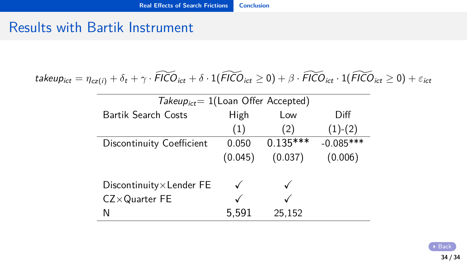# Results with Bartik Instrument

$$
\textit{takeup}_{\textit{ict}} = \eta_{\textit{cz}(i)} + \delta_t + \gamma \cdot \widetilde{\textit{FICO}}_{\textit{ict}} + \delta \cdot 1 (\widetilde{\textit{FICO}}_{\textit{ict}} \geq 0) + \beta \cdot \widetilde{\textit{FICO}}_{\textit{ict}} \cdot 1 (\widetilde{\textit{FICO}}_{\textit{ict}} \geq 0) + \varepsilon_{\textit{ict}}
$$

| $Takeup_{ict} = 1$ (Loan Offer Accepted) |         |            |             |  |  |
|------------------------------------------|---------|------------|-------------|--|--|
| <b>Bartik Search Costs</b>               | High    | Low        | Diff        |  |  |
|                                          | (1)     | (2)        | $(1)-(2)$   |  |  |
| Discontinuity Coefficient                | 0.050   | $0.135***$ | $-0.085***$ |  |  |
|                                          | (0.045) | (0.037)    | (0.006)     |  |  |
| Discontinuity $\times$ Lender FE         |         |            |             |  |  |
| $CZ \times Q$ uarter FE                  |         |            |             |  |  |
| N                                        | 5,591   | 25,152     |             |  |  |

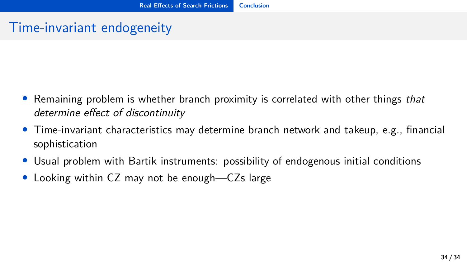### Time-invariant endogeneity

- Remaining problem is whether branch proximity is correlated with other things that determine effect of discontinuity
- Time-invariant characteristics may determine branch network and takeup, e.g., financial sophistication
- Usual problem with Bartik instruments: possibility of endogenous initial conditions
- Looking within CZ may not be enough—CZs large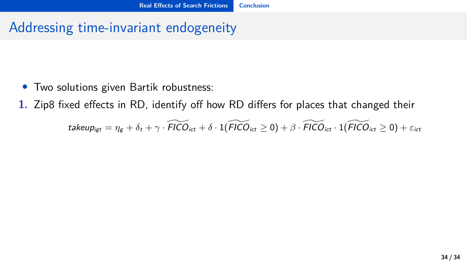# Addressing time-invariant endogeneity

• Two solutions given Bartik robustness:

**1.** Zip8 fixed effects in RD, identify off how RD differs for places that changed their

$$
\mathit{takeup}_{\mathit{igt}} = \eta_{\mathit{g}} + \delta_{\mathit{t}} + \gamma \cdot \widetilde{\mathit{FICO}_{\mathit{ict}}} + \delta \cdot 1(\widetilde{\mathit{FICO}_{\mathit{ict}}} \geq 0) + \beta \cdot \widetilde{\mathit{FICO}_{\mathit{ict}}} \cdot 1(\widetilde{\mathit{FICO}_{\mathit{ict}}} \geq 0) + \varepsilon_{\mathit{ict}}
$$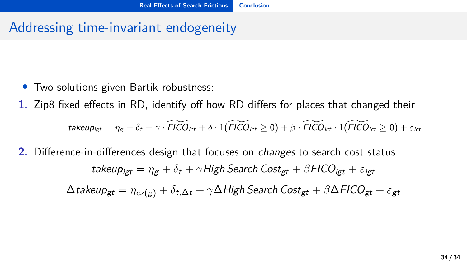# Addressing time-invariant endogeneity

- Two solutions given Bartik robustness:
- **1.** Zip8 fixed effects in RD, identify off how RD differs for places that changed their

$$
\textit{takeup}_{\textit{igt}} = \eta_g + \delta_t + \gamma \cdot \widetilde{\textit{FICO}}_{\textit{ict}} + \delta \cdot 1 (\widetilde{\textit{FICO}}_{\textit{ict}} \geq 0) + \beta \cdot \widetilde{\textit{FICO}}_{\textit{ict}} \cdot 1 (\widetilde{\textit{FICO}}_{\textit{ict}} \geq 0) + \varepsilon_{\textit{ict}}
$$

**2.** Difference-in-differences design that focuses on changes to search cost status

takeup<sub>igt</sub> =  $\eta_g + \delta_t + \gamma$ High Search Cost<sub>gt</sub> +  $\beta$ FICO<sub>igt</sub> +  $\varepsilon_{igt}$ 

 $\Delta$ takeup<sub>gt</sub> =  $\eta_{cz(g)} + \delta_{t,\Delta t} + \gamma \Delta$ High Search Cost<sub>gt</sub> +  $\beta \Delta FICO_{gt} + \varepsilon_{gt}$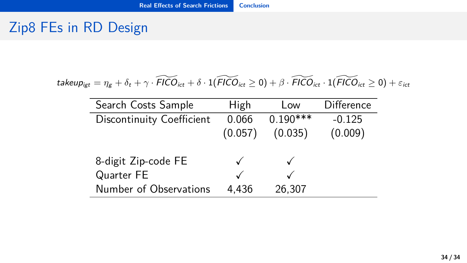# Zip8 FEs in RD Design

$$
\textit{takeup}_{\textit{igt}} = \eta_{\textit{g}} + \delta_{\textit{t}} + \gamma \cdot \widetilde{\textit{FICO}}_{\textit{ict}} + \delta \cdot 1(\widetilde{\textit{FICO}}_{\textit{ict}} \geq 0) + \beta \cdot \widetilde{\textit{FICO}}_{\textit{ict}} \cdot 1(\widetilde{\textit{FICO}}_{\textit{ict}} \geq 0) + \varepsilon_{\textit{ict}}
$$

| Search Costs Sample       | High    | Low        | <b>Difference</b> |
|---------------------------|---------|------------|-------------------|
| Discontinuity Coefficient | 0.066   | $0.190***$ | $-0.125$          |
|                           | (0.057) | (0.035)    | (0.009)           |
|                           |         |            |                   |
| 8-digit Zip-code FE       |         |            |                   |
| Quarter FE                | ✓       |            |                   |
| Number of Observations    | 4.436   | 26,307     |                   |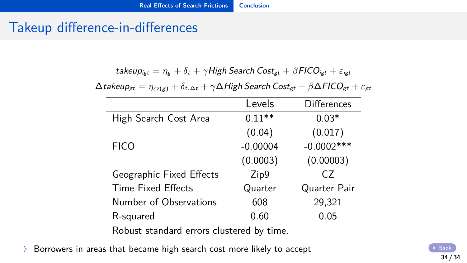# Takeup difference-in-differences

 $\Delta$ takeup<sub>gt</sub> =  $\eta_{cz(g)} + \delta_{t,\Delta t} + \gamma \Delta$ High Search Cost<sub>gt</sub> +  $\beta \Delta FICO_{gt} + \varepsilon_{gt}$ 

|                          | Levels     | Differences   |
|--------------------------|------------|---------------|
| High Search Cost Area    | $0.11**$   | $0.03*$       |
|                          | (0.04)     | (0.017)       |
| <b>FICO</b>              | $-0.00004$ | $-0.0002$ *** |
|                          | (0.0003)   | (0.00003)     |
| Geographic Fixed Effects | Zip9       | C7            |
| Time Fixed Fffects       | Quarter    | Quarter Pair  |
| Number of Observations   | 608        | 29,321        |
| R-squared                | 0.60       | 0.05          |

Robust standard errors clustered by time.

 $\rightarrow$  Borrowers in areas that became high search cost more likely to accept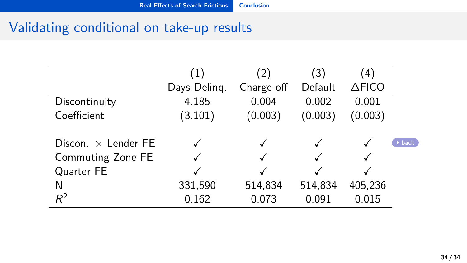# <span id="page-67-0"></span>Validating conditional on take-up results

|                            | $\left( 1\right)$ | $\left 2\right\rangle$ | $\left 3\right\rangle$ | (4)          |                       |
|----------------------------|-------------------|------------------------|------------------------|--------------|-----------------------|
|                            | Days Deling.      | Charge-off             | Default                | <b>AFICO</b> |                       |
| Discontinuity              | 4.185             | 0.004                  | 0.002                  | 0.001        |                       |
| Coefficient                | (3.101)           | (0.003)                | (0.003)                | (0.003)      |                       |
|                            |                   |                        |                        |              |                       |
| Discon. $\times$ Lender FE |                   |                        |                        |              | $\triangleright$ back |
| Commuting Zone FE          |                   |                        |                        |              |                       |
| Quarter FE                 |                   |                        |                        |              |                       |
| N                          | 331,590           | 514,834                | 514,834                | 405,236      |                       |
| $R^2$                      | 0.162             | 0.073                  | 0.091                  | 0.015        |                       |